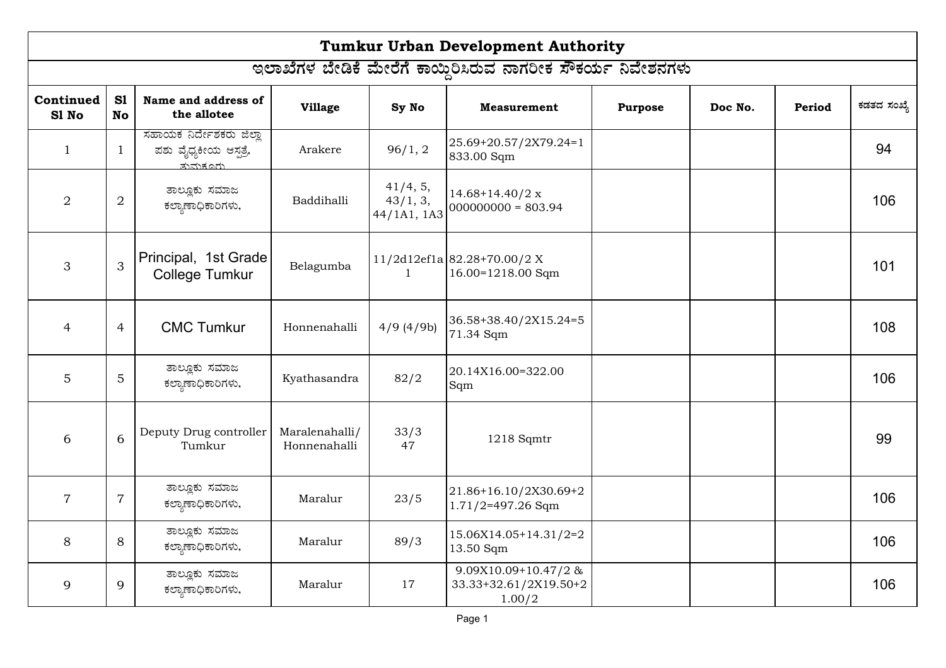|                                                             | <b>Tumkur Urban Development Authority</b> |                                                               |                                |                                     |                                                        |                |         |        |             |  |  |
|-------------------------------------------------------------|-------------------------------------------|---------------------------------------------------------------|--------------------------------|-------------------------------------|--------------------------------------------------------|----------------|---------|--------|-------------|--|--|
| ಇಲಾಖೆಗಳ ಬೇಡಿಕೆ ಮೇರೆಗೆ ಕಾಯ್ದಿರಿಸಿರುವ ನಾಗರೀಕ ಸೌಕರ್ಯ ನಿವೇಶನಗಳು |                                           |                                                               |                                |                                     |                                                        |                |         |        |             |  |  |
| Continued<br>S1 No                                          | S1<br><b>No</b>                           | Name and address of<br>the allotee                            | <b>Village</b>                 | Sy No                               | <b>Measurement</b>                                     | <b>Purpose</b> | Doc No. | Period | ಕಡತದ ಸಂಖ್ಯೆ |  |  |
| $\mathbf{1}$                                                | $\mathbf{1}$                              | ಸಹಾಯಕ ನಿರ್ದೇಶಕರು ಜಿಲ್ಲಾ<br>ಪಶು ವೈಧ್ಯಕೀಯ ಆಸ್ಪತ್ರೆ,<br>ತುಮೆಕೂರು | Arakere                        | 96/1, 2                             | 25.69+20.57/2X79.24=1<br>833.00 Sqm                    |                |         |        | 94          |  |  |
| $\overline{2}$                                              | $\overline{2}$                            | ತಾಲ್ಲೂಕು ಸಮಾಜ<br>ಕಲ್ತಾಣಾಧಿಕಾರಿಗಳು,                            | Baddihalli                     | 41/4, 5,<br>43/1, 3,<br>44/1A1, 1A3 | $14.68 + 14.40/2 x$<br>$000000000 = 803.94$            |                |         |        | 106         |  |  |
| 3                                                           | 3                                         | Principal, 1st Grade<br><b>College Tumkur</b>                 | Belagumba                      | $\mathbf{1}$                        | $11/2d12ef1a 82.28+70.00/2 X$<br>16.00=1218.00 Sqm     |                |         |        | 101         |  |  |
| $\overline{4}$                                              | $\overline{4}$                            | <b>CMC Tumkur</b>                                             | Honnenahalli                   | $4/9$ (4/9b)                        | 36.58+38.40/2X15.24=5<br>71.34 Sqm                     |                |         |        | 108         |  |  |
| 5                                                           | 5                                         | ತಾಲ್ಲೂಕು ಸಮಾಜ<br>ಕಲ್ತಾಣಾಧಿಕಾರಿಗಳು,                            | Kyathasandra                   | 82/2                                | 20.14X16.00=322.00<br>Sqm                              |                |         |        | 106         |  |  |
| 6                                                           | 6                                         | Deputy Drug controller<br>Tumkur                              | Maralenahalli/<br>Honnenahalli | 33/3<br>47                          | 1218 Sqmtr                                             |                |         |        | 99          |  |  |
| $\overline{7}$                                              | $\overline{7}$                            | ತಾಲ್ಲೂಕು ಸಮಾಜ<br>ಕಲ್ತಾಣಾಧಿಕಾರಿಗಳು,                            | Maralur                        | 23/5                                | 21.86+16.10/2X30.69+2<br>$1.71/2=497.26$ Sqm           |                |         |        | 106         |  |  |
| 8                                                           | 8                                         | ತಾಲ್ಲೂಕು ಸಮಾಜ<br>ಕಲ್ತಾಣಾಧಿಕಾರಿಗಳು,                            | Maralur                        | 89/3                                | 15.06X14.05+14.31/2=2<br>13.50 Sqm                     |                |         |        | 106         |  |  |
| 9                                                           | 9                                         | ತಾಲ್ಲೂಕು ಸಮಾಜ<br>ಕಲ್ತಾಣಾಧಿಕಾರಿಗಳು,                            | Maralur                        | 17                                  | 9.09X10.09+10.47/2&<br>33.33+32.61/2X19.50+2<br>1.00/2 |                |         |        | 106         |  |  |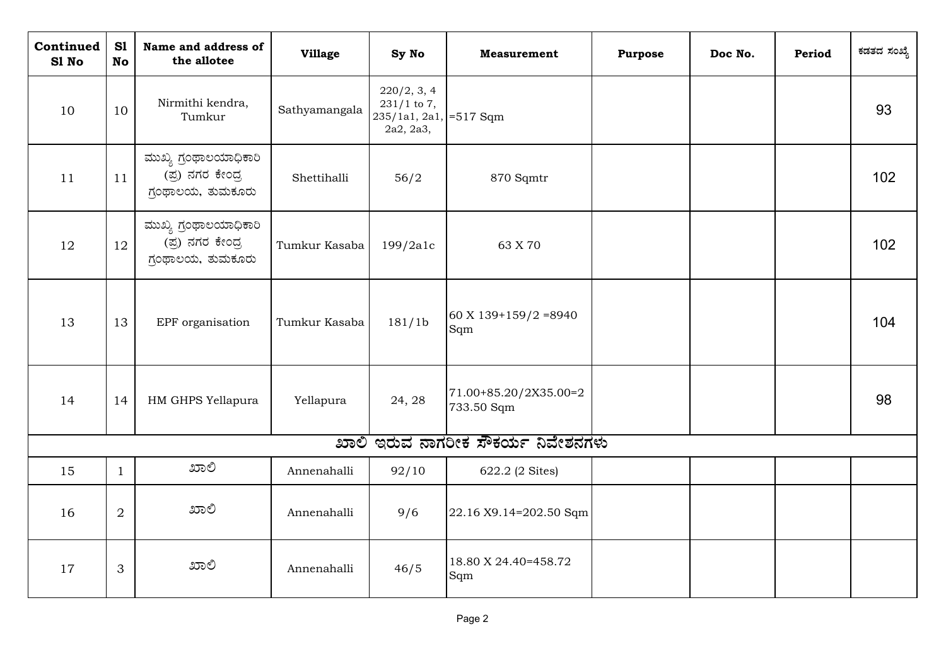| Continued<br>S1 No | S1<br><b>No</b> | Name and address of<br>the allotee                             | <b>Village</b> | Sy No                                                               | <b>Measurement</b>                  | <b>Purpose</b> | Doc No. | Period | ಕಡತದ ಸಂಖ್ಯೆ |
|--------------------|-----------------|----------------------------------------------------------------|----------------|---------------------------------------------------------------------|-------------------------------------|----------------|---------|--------|-------------|
| 10                 | 10              | Nirmithi kendra,<br>Tumkur                                     | Sathyamangala  | 220/2, 3, 4<br>$231/1$ to 7,<br>235/1a1, 2a1, =517 Sqm<br>2a2, 2a3, |                                     |                |         |        | 93          |
| 11                 | 11              | ಮುಖ್ಯ ಗ್ರಂಥಾಲಯಾಧಿಕಾರಿ<br>(ಪ್ರ) ನಗರ ಕೇಂದ್ರ<br>ಗ್ಗಂಥಾಲಯ, ತುಮಕೂರು | Shettihalli    | 56/2                                                                | 870 Sqmtr                           |                |         |        | 102         |
| 12                 | 12              | ಮುಖ್ಯ ಗ್ರಂಥಾಲಯಾಧಿಕಾರಿ<br>(ಪ್ರ) ನಗರ ಕೇಂದ್ರ<br>ಗ್ರಂಥಾಲಯ, ತುಮಕೂರು | Tumkur Kasaba  | 199/2a1c                                                            | 63 X 70                             |                |         |        | 102         |
| 13                 | 13              | EPF organisation                                               | Tumkur Kasaba  | 181/1 <sub>b</sub>                                                  | 60 X 139+159/2 = 8940<br>Sqm        |                |         |        | 104         |
| 14                 | 14              | HM GHPS Yellapura                                              | Yellapura      | 24, 28                                                              | 71.00+85.20/2X35.00=2<br>733.50 Sqm |                |         |        | 98          |
|                    |                 |                                                                |                |                                                                     | ಖಾಲಿ ಇರುವ ನಾಗರೀಕ ಸೌಕರ್ಯ ನಿವೇಶನಗಳು   |                |         |        |             |
| 15                 | $\mathbf{1}$    | ಖಾಲಿ                                                           | Annenahalli    | 92/10                                                               | 622.2 (2 Sites)                     |                |         |        |             |
| 16                 | $\overline{2}$  | ಖಾಲಿ                                                           | Annenahalli    | 9/6                                                                 | 22.16 X9.14=202.50 Sqm              |                |         |        |             |
| 17                 | 3               | ಖಾಲಿ                                                           | Annenahalli    | 46/5                                                                | 18.80 X 24.40=458.72<br>Sqm         |                |         |        |             |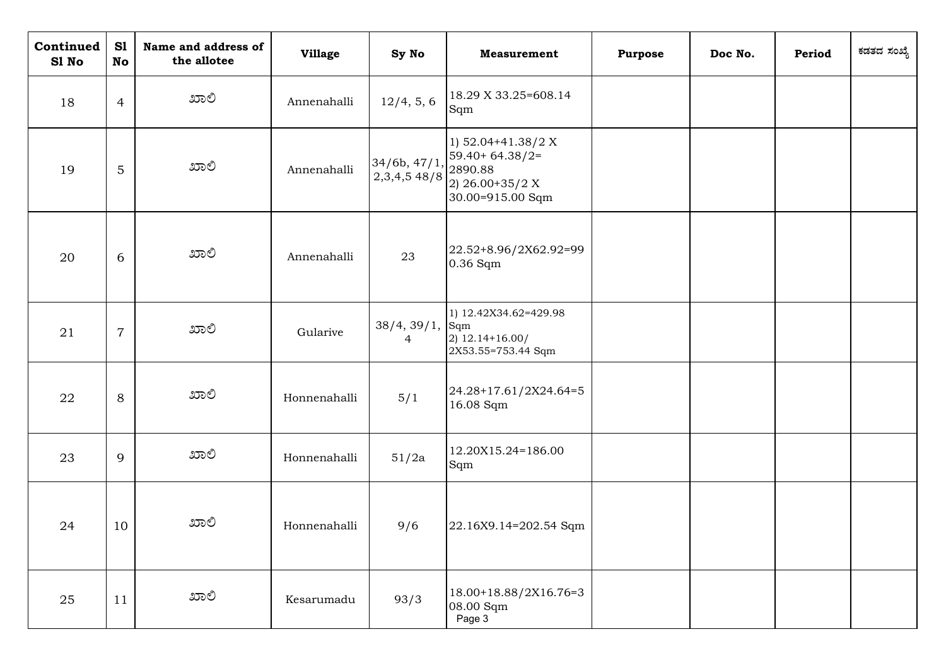| Continued<br>S1 No | S1<br>No       | Name and address of<br>the allotee | <b>Village</b> | Sy No                        | <b>Measurement</b>                                                                         | <b>Purpose</b> | Doc No. | Period | ಕಡತದ ಸಂಖ್ಯೆ |
|--------------------|----------------|------------------------------------|----------------|------------------------------|--------------------------------------------------------------------------------------------|----------------|---------|--------|-------------|
| 18                 | $\overline{4}$ | ಖಾಲಿ                               | Annenahalli    | 12/4, 5, 6                   | 18.29 X 33.25=608.14<br>Sqm                                                                |                |         |        |             |
| 19                 | 5              | ಖಾಲಿ                               | Annenahalli    | 34/6b, 47/1,<br>2,3,4,5,48/8 | 1) $52.04+41.38/2 X$<br>$59.40+64.38/2=$<br>2890.88<br>2) 26.00+35/2 X<br>30.00=915.00 Sqm |                |         |        |             |
| 20                 | 6              | ಖಾಲಿ                               | Annenahalli    | 23                           | 22.52+8.96/2X62.92=99<br>0.36 Sqm                                                          |                |         |        |             |
| 21                 | $\overline{7}$ | ಖಾಲಿ                               | Gularive       | 38/4, 39/1,<br>4             | 1) 12.42X34.62=429.98<br>Sqm<br>$2)$ 12.14+16.00/<br>2X53.55=753.44 Sqm                    |                |         |        |             |
| 22                 | 8              | ಖಾಲಿ                               | Honnenahalli   | 5/1                          | 24.28+17.61/2X24.64=5<br>16.08 Sqm                                                         |                |         |        |             |
| 23                 | 9              | ಖಾಲಿ                               | Honnenahalli   | 51/2a                        | 12.20X15.24=186.00<br>Sqm                                                                  |                |         |        |             |
| 24                 | 10             | ಖಾಲಿ                               | Honnenahalli   | 9/6                          | 22.16X9.14=202.54 Sqm                                                                      |                |         |        |             |
| 25                 | 11             | ಖಾಲಿ                               | Kesarumadu     | 93/3                         | 18.00+18.88/2X16.76=3<br>08.00 Sqm<br>Page 3                                               |                |         |        |             |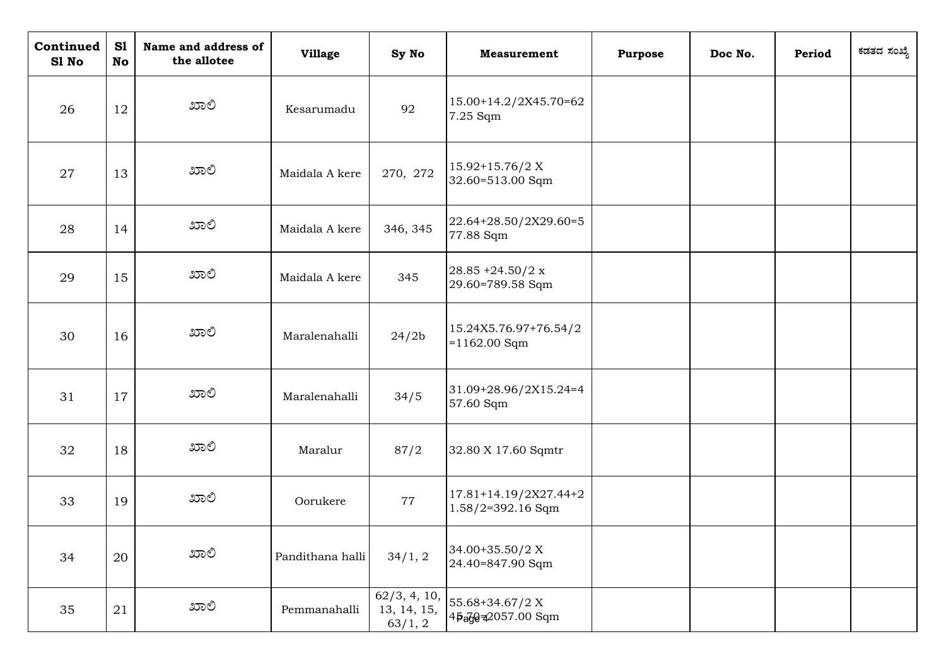| Continued<br>S1 No | S1<br><b>No</b> | Name and address of<br>the allotee | <b>Village</b>   | Sy No                                  | <b>Measurement</b>                           | <b>Purpose</b> | Doc No. | Period | ಕಡತದ ಸಂಖ್ಯೆ |
|--------------------|-----------------|------------------------------------|------------------|----------------------------------------|----------------------------------------------|----------------|---------|--------|-------------|
| 26                 | 12              | ಖಾಲಿ                               | Kesarumadu       | 92                                     | 15.00+14.2/2X45.70=62<br>7.25 Sqm            |                |         |        |             |
| 27                 | 13              | ಖಾಲಿ                               | Maidala A kere   | 270, 272                               | $15.92+15.76/2 X$<br>32.60=513.00 Sqm        |                |         |        |             |
| 28                 | 14              | ಖಾಲಿ                               | Maidala A kere   | 346, 345                               | 22.64+28.50/2X29.60=5<br>77.88 Sqm           |                |         |        |             |
| 29                 | 15              | ಖಾಲಿ                               | Maidala A kere   | 345                                    | $28.85 + 24.50/2 x$<br>29.60=789.58 Sqm      |                |         |        |             |
| 30                 | 16              | ಖಾಲಿ                               | Maralenahalli    | 24/2 <sub>b</sub>                      | 15.24X5.76.97+76.54/2<br>$=1162.00$ Sqm      |                |         |        |             |
| 31                 | 17              | ಖಾಲಿ                               | Maralenahalli    | 34/5                                   | 31.09+28.96/2X15.24=4<br>57.60 Sqm           |                |         |        |             |
| 32                 | 18              | ಖಾಲಿ                               | Maralur          | 87/2                                   | 32.80 X 17.60 Sqmtr                          |                |         |        |             |
| 33                 | 19              | ಖಾಲಿ                               | Oorukere         | 77                                     | 17.81+14.19/2X27.44+2<br>$1.58/2=392.16$ Sqm |                |         |        |             |
| 34                 | 20              | ಖಾಲಿ                               | Pandithana halli | 34/1, 2                                | 34.00+35.50/2 X<br>24.40=847.90 Sqm          |                |         |        |             |
| 35                 | 21              | ಖಾಲಿ                               | Pemmanahalli     | 62/3, 4, 10,<br>13, 14, 15,<br>63/1, 2 | 55.68+34.67/2 X<br>45age=2057.00 Sqm         |                |         |        |             |